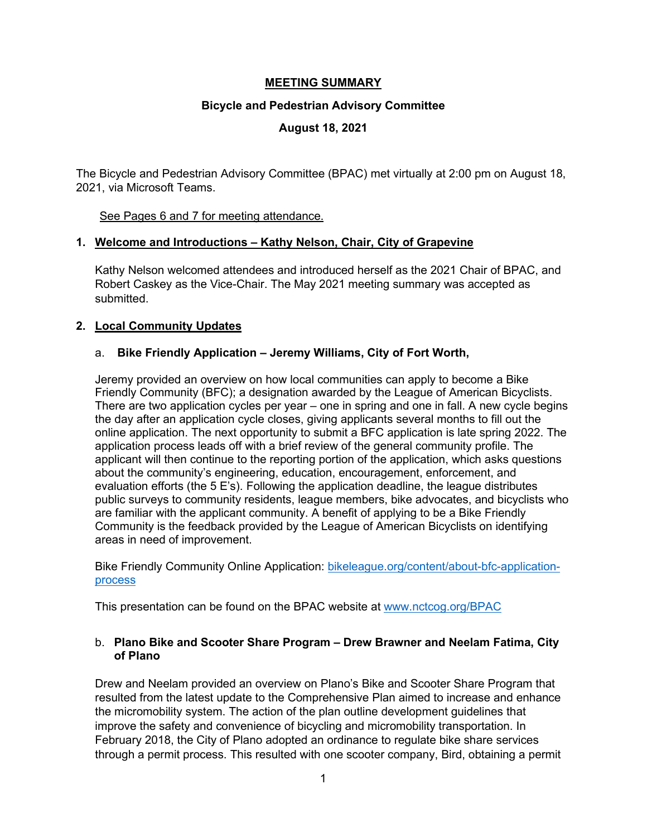# **MEETING SUMMARY**

## **Bicycle and Pedestrian Advisory Committee**

# **August 18, 2021**

The Bicycle and Pedestrian Advisory Committee (BPAC) met virtually at 2:00 pm on August 18, 2021, via Microsoft Teams.

# See Pages 6 and 7 for meeting attendance.

# **1. Welcome and Introductions – Kathy Nelson, Chair, City of Grapevine**

Kathy Nelson welcomed attendees and introduced herself as the 2021 Chair of BPAC, and Robert Caskey as the Vice-Chair. The May 2021 meeting summary was accepted as submitted.

# **2. Local Community Updates**

# a. **Bike Friendly Application – Jeremy Williams, City of Fort Worth,**

Jeremy provided an overview on how local communities can apply to become a Bike Friendly Community (BFC); a designation awarded by the League of American Bicyclists. There are two application cycles per year – one in spring and one in fall. A new cycle begins the day after an application cycle closes, giving applicants several months to fill out the online application. The next opportunity to submit a BFC application is late spring 2022. The application process leads off with a brief review of the general community profile. The applicant will then continue to the reporting portion of the application, which asks questions about the community's engineering, education, encouragement, enforcement, and evaluation efforts (the 5 E's). Following the application deadline, the league distributes public surveys to community residents, league members, bike advocates, and bicyclists who are familiar with the applicant community. A benefit of applying to be a Bike Friendly Community is the feedback provided by the League of American Bicyclists on identifying areas in need of improvement.

Bike Friendly Community Online Application: [bikeleague.org/content/about-bfc-application](https://bikeleague.org/content/about-bfc-application-process)[process](https://bikeleague.org/content/about-bfc-application-process)

This presentation can be found on the BPAC website at [www.nctcog.org/BPAC](http://www.nctcog.org/BPAC)

## b. **Plano Bike and Scooter Share Program – Drew Brawner and Neelam Fatima, City of Plano**

Drew and Neelam provided an overview on Plano's Bike and Scooter Share Program that resulted from the latest update to the Comprehensive Plan aimed to increase and enhance the micromobility system. The action of the plan outline development guidelines that improve the safety and convenience of bicycling and micromobility transportation. In February 2018, the City of Plano adopted an ordinance to regulate bike share services through a permit process. This resulted with one scooter company, Bird, obtaining a permit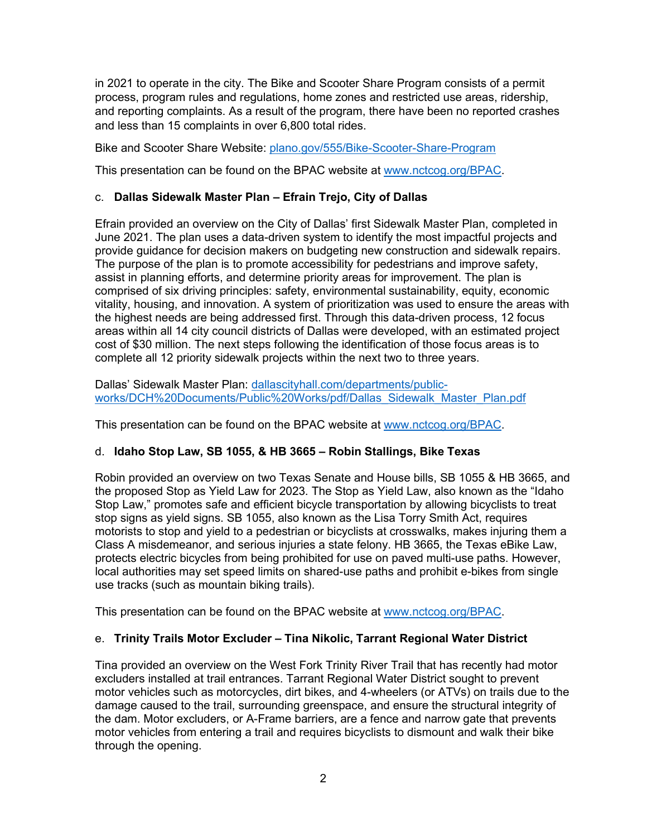in 2021 to operate in the city. The Bike and Scooter Share Program consists of a permit process, program rules and regulations, home zones and restricted use areas, ridership, and reporting complaints. As a result of the program, there have been no reported crashes and less than 15 complaints in over 6,800 total rides.

Bike and Scooter Share Website: [plano.gov/555/Bike-Scooter-Share-Program](https://plano.gov/555/Bike-Scooter-Share-Program)

This presentation can be found on the BPAC website at [www.nctcog.org/BPAC.](http://www.nctcog.org/BPAC)

## c. **Dallas Sidewalk Master Plan – Efrain Trejo, City of Dallas**

Efrain provided an overview on the City of Dallas' first Sidewalk Master Plan, completed in June 2021. The plan uses a data-driven system to identify the most impactful projects and provide guidance for decision makers on budgeting new construction and sidewalk repairs. The purpose of the plan is to promote accessibility for pedestrians and improve safety, assist in planning efforts, and determine priority areas for improvement. The plan is comprised of six driving principles: safety, environmental sustainability, equity, economic vitality, housing, and innovation. A system of prioritization was used to ensure the areas with the highest needs are being addressed first. Through this data-driven process, 12 focus areas within all 14 city council districts of Dallas were developed, with an estimated project cost of \$30 million. The next steps following the identification of those focus areas is to complete all 12 priority sidewalk projects within the next two to three years.

Dallas' Sidewalk Master Plan: [dallascityhall.com/departments/public](https://dallascityhall.com/departments/public-works/DCH%20Documents/Public%20Works/pdf/Dallas_Sidewalk_Master_Plan.pdf)[works/DCH%20Documents/Public%20Works/pdf/Dallas\\_Sidewalk\\_Master\\_Plan.pdf](https://dallascityhall.com/departments/public-works/DCH%20Documents/Public%20Works/pdf/Dallas_Sidewalk_Master_Plan.pdf)

This presentation can be found on the BPAC website at [www.nctcog.org/BPAC.](http://www.nctcog.org/BPAC)

## d. **Idaho Stop Law, SB 1055, & HB 3665 – Robin Stallings, Bike Texas**

Robin provided an overview on two Texas Senate and House bills, SB 1055 & HB 3665, and the proposed Stop as Yield Law for 2023. The Stop as Yield Law, also known as the "Idaho Stop Law," promotes safe and efficient bicycle transportation by allowing bicyclists to treat stop signs as yield signs. SB 1055, also known as the Lisa Torry Smith Act, requires motorists to stop and yield to a pedestrian or bicyclists at crosswalks, makes injuring them a Class A misdemeanor, and serious injuries a state felony. HB 3665, the Texas eBike Law, protects electric bicycles from being prohibited for use on paved multi-use paths. However, local authorities may set speed limits on shared-use paths and prohibit e-bikes from single use tracks (such as mountain biking trails).

This presentation can be found on the BPAC website at [www.nctcog.org/BPAC.](http://www.nctcog.org/BPAC)

## e. **Trinity Trails Motor Excluder – Tina Nikolic, Tarrant Regional Water District**

Tina provided an overview on the West Fork Trinity River Trail that has recently had motor excluders installed at trail entrances. Tarrant Regional Water District sought to prevent motor vehicles such as motorcycles, dirt bikes, and 4-wheelers (or ATVs) on trails due to the damage caused to the trail, surrounding greenspace, and ensure the structural integrity of the dam. Motor excluders, or A-Frame barriers, are a fence and narrow gate that prevents motor vehicles from entering a trail and requires bicyclists to dismount and walk their bike through the opening.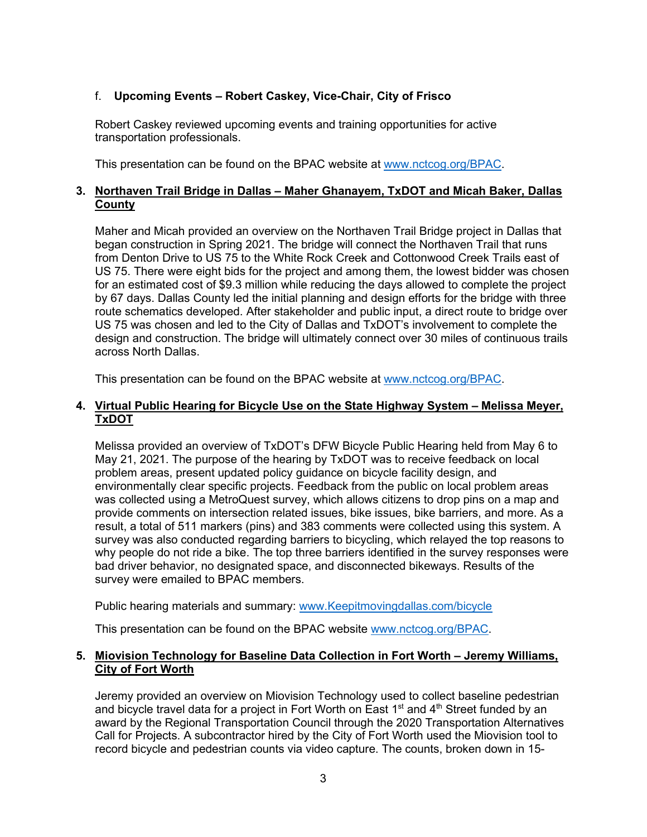# f. **Upcoming Events – Robert Caskey, Vice-Chair, City of Frisco**

Robert Caskey reviewed upcoming events and training opportunities for active transportation professionals.

This presentation can be found on the BPAC website at [www.nctcog.org/BPAC.](http://www.nctcog.org/BPAC)

## **3. Northaven Trail Bridge in Dallas – Maher Ghanayem, TxDOT and Micah Baker, Dallas County**

Maher and Micah provided an overview on the Northaven Trail Bridge project in Dallas that began construction in Spring 2021. The bridge will connect the Northaven Trail that runs from Denton Drive to US 75 to the White Rock Creek and Cottonwood Creek Trails east of US 75. There were eight bids for the project and among them, the lowest bidder was chosen for an estimated cost of \$9.3 million while reducing the days allowed to complete the project by 67 days. Dallas County led the initial planning and design efforts for the bridge with three route schematics developed. After stakeholder and public input, a direct route to bridge over US 75 was chosen and led to the City of Dallas and TxDOT's involvement to complete the design and construction. The bridge will ultimately connect over 30 miles of continuous trails across North Dallas.

This presentation can be found on the BPAC website at [www.nctcog.org/BPAC.](http://www.nctcog.org/BPAC)

## **4. Virtual Public Hearing for Bicycle Use on the State Highway System – Melissa Meyer, TxDOT**

Melissa provided an overview of TxDOT's DFW Bicycle Public Hearing held from May 6 to May 21, 2021. The purpose of the hearing by TxDOT was to receive feedback on local problem areas, present updated policy guidance on bicycle facility design, and environmentally clear specific projects. Feedback from the public on local problem areas was collected using a MetroQuest survey, which allows citizens to drop pins on a map and provide comments on intersection related issues, bike issues, bike barriers, and more. As a result, a total of 511 markers (pins) and 383 comments were collected using this system. A survey was also conducted regarding barriers to bicycling, which relayed the top reasons to why people do not ride a bike. The top three barriers identified in the survey responses were bad driver behavior, no designated space, and disconnected bikeways. Results of the survey were emailed to BPAC members.

Public hearing materials and summary: [www.Keepitmovingdallas.com/bicycle](http://www.keepitmovingdallas.com/bicycle)

This presentation can be found on the BPAC website [www.nctcog.org/BPAC.](http://www.nctcog.org/BPAC)

#### **5. Miovision Technology for Baseline Data Collection in Fort Worth – Jeremy Williams, City of Fort Worth**

Jeremy provided an overview on Miovision Technology used to collect baseline pedestrian and bicycle travel data for a project in Fort Worth on East  $1<sup>st</sup>$  and  $4<sup>th</sup>$  Street funded by an award by the Regional Transportation Council through the 2020 Transportation Alternatives Call for Projects. A subcontractor hired by the City of Fort Worth used the Miovision tool to record bicycle and pedestrian counts via video capture. The counts, broken down in 15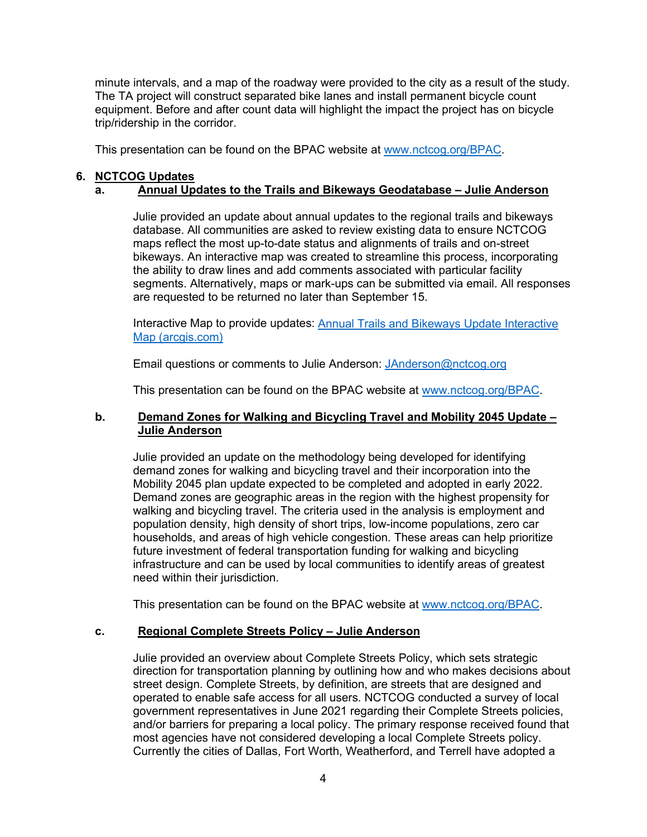minute intervals, and a map of the roadway were provided to the city as a result of the study. The TA project will construct separated bike lanes and install permanent bicycle count equipment. Before and after count data will highlight the impact the project has on bicycle trip/ridership in the corridor.

This presentation can be found on the BPAC website at [www.nctcog.org/BPAC.](http://www.nctcog.org/BPAC)

#### **6. NCTCOG Updates**

#### **a. Annual Updates to the Trails and Bikeways Geodatabase – Julie Anderson**

Julie provided an update about annual updates to the regional trails and bikeways database. All communities are asked to review existing data to ensure NCTCOG maps reflect the most up-to-date status and alignments of trails and on-street bikeways. An interactive map was created to streamline this process, incorporating the ability to draw lines and add comments associated with particular facility segments. Alternatively, maps or mark-ups can be submitted via email. All responses are requested to be returned no later than September 15.

Interactive Map to provide updates: **Annual Trails and Bikeways Update Interactive** [Map \(arcgis.com\)](https://nam12.safelinks.protection.outlook.com/?url=https%3A%2F%2Fnctcoggis.maps.arcgis.com%2Fapps%2FCrowdsourceReporter%2Findex.html%3Fappid%3Ddb0c88eff6a842c4bea2e87457bd580e&data=04%7C01%7CRKozub%40nctcog.org%7C4efe671a643146319d3a08d9673bfe5c%7C2f5e7ebc22b04fbe934caabddb4e29b1%7C0%7C0%7C637654329672267079%7CUnknown%7CTWFpbGZsb3d8eyJWIjoiMC4wLjAwMDAiLCJQIjoiV2luMzIiLCJBTiI6Ik1haWwiLCJXVCI6Mn0%3D%7C1000&sdata=n%2FKQ%2FY5HW9UYZ%2FdZ3wyk2OosL2j26I8Iiwvs3y3H8lo%3D&reserved=0)

Email questions or comments to Julie Anderson: [JAnderson@nctcog.org](file://NCTCOG.DST.TX.US/office$/programs$/Sustainable_Development/Bike%20&%20Pedestrian/BPAC/2021/8-18/Meeting%20Summary/JAnderson@nctcog.org)

This presentation can be found on the BPAC website at [www.nctcog.org/BPAC.](http://www.nctcog.org/BPAC)

### **b. Demand Zones for Walking and Bicycling Travel and Mobility 2045 Update – Julie Anderson**

Julie provided an update on the methodology being developed for identifying demand zones for walking and bicycling travel and their incorporation into the Mobility 2045 plan update expected to be completed and adopted in early 2022. Demand zones are geographic areas in the region with the highest propensity for walking and bicycling travel. The criteria used in the analysis is employment and population density, high density of short trips, low-income populations, zero car households, and areas of high vehicle congestion. These areas can help prioritize future investment of federal transportation funding for walking and bicycling infrastructure and can be used by local communities to identify areas of greatest need within their jurisdiction.

This presentation can be found on the BPAC website at [www.nctcog.org/BPAC.](http://www.nctcog.org/BPAC)

## **c. Regional Complete Streets Policy – Julie Anderson**

Julie provided an overview about Complete Streets Policy, which sets strategic direction for transportation planning by outlining how and who makes decisions about street design. Complete Streets, by definition, are streets that are designed and operated to enable safe access for all users. NCTCOG conducted a survey of local government representatives in June 2021 regarding their Complete Streets policies, and/or barriers for preparing a local policy. The primary response received found that most agencies have not considered developing a local Complete Streets policy. Currently the cities of Dallas, Fort Worth, Weatherford, and Terrell have adopted a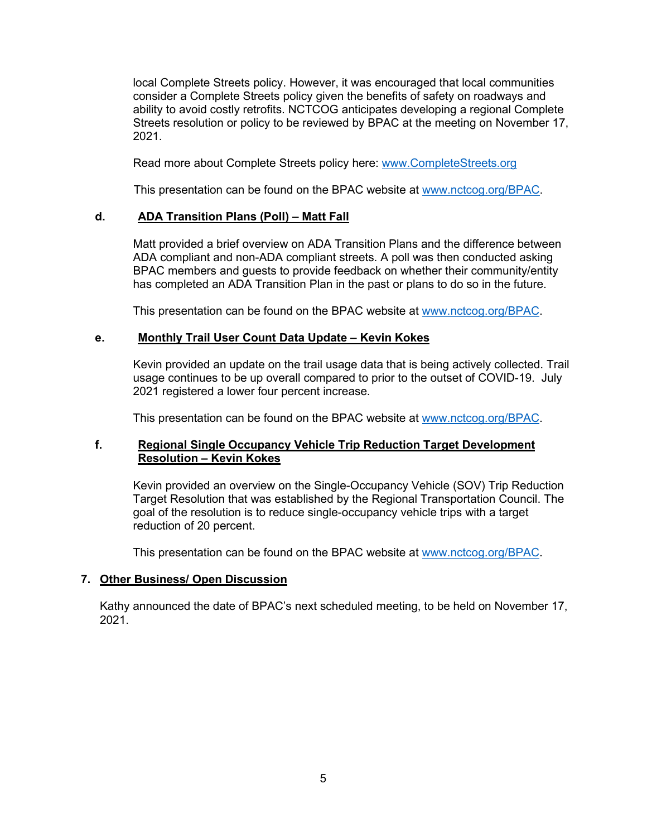local Complete Streets policy. However, it was encouraged that local communities consider a Complete Streets policy given the benefits of safety on roadways and ability to avoid costly retrofits. NCTCOG anticipates developing a regional Complete Streets resolution or policy to be reviewed by BPAC at the meeting on November 17, 2021.

Read more about Complete Streets policy here: [www.CompleteStreets.org](http://www.completestreets.org/)

This presentation can be found on the BPAC website at [www.nctcog.org/BPAC.](http://www.nctcog.org/BPAC)

#### **d. ADA Transition Plans (Poll) – Matt Fall**

Matt provided a brief overview on ADA Transition Plans and the difference between ADA compliant and non-ADA compliant streets. A poll was then conducted asking BPAC members and guests to provide feedback on whether their community/entity has completed an ADA Transition Plan in the past or plans to do so in the future.

This presentation can be found on the BPAC website at [www.nctcog.org/BPAC.](http://www.nctcog.org/BPAC)

#### **e. Monthly Trail User Count Data Update – Kevin Kokes**

Kevin provided an update on the trail usage data that is being actively collected. Trail usage continues to be up overall compared to prior to the outset of COVID-19. July 2021 registered a lower four percent increase.

This presentation can be found on the BPAC website at [www.nctcog.org/BPAC.](http://www.nctcog.org/BPAC)

## **f. Regional Single Occupancy Vehicle Trip Reduction Target Development Resolution – Kevin Kokes**

Kevin provided an overview on the Single-Occupancy Vehicle (SOV) Trip Reduction Target Resolution that was established by the Regional Transportation Council. The goal of the resolution is to reduce single-occupancy vehicle trips with a target reduction of 20 percent.

This presentation can be found on the BPAC website at [www.nctcog.org/BPAC.](http://www.nctcog.org/BPAC)

## **7. Other Business/ Open Discussion**

Kathy announced the date of BPAC's next scheduled meeting, to be held on November 17, 2021.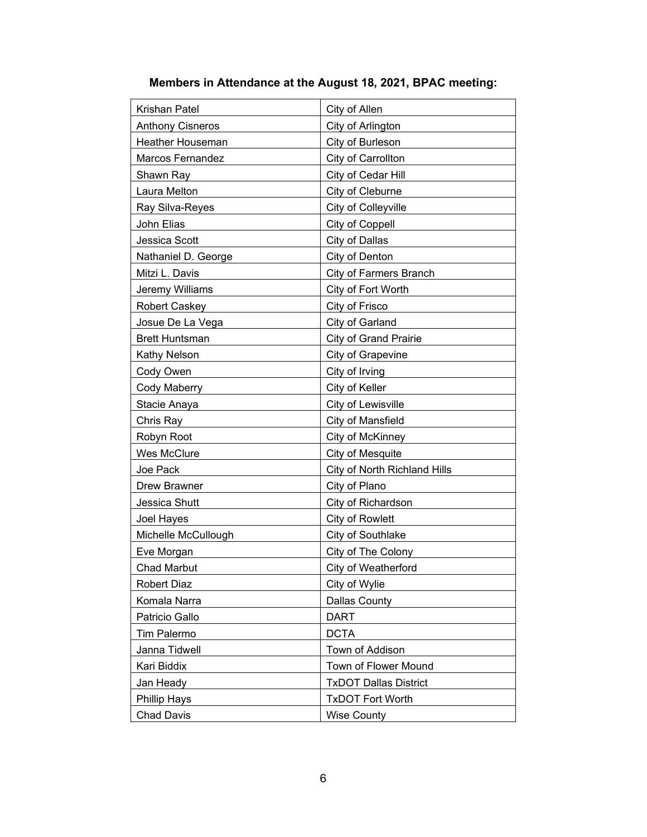| Krishan Patel           | City of Allen                 |
|-------------------------|-------------------------------|
| <b>Anthony Cisneros</b> | City of Arlington             |
| <b>Heather Houseman</b> | City of Burleson              |
| <b>Marcos Fernandez</b> | City of Carrollton            |
| Shawn Ray               | City of Cedar Hill            |
| Laura Melton            | City of Cleburne              |
| Ray Silva-Reyes         | City of Colleyville           |
| John Elias              | City of Coppell               |
| Jessica Scott           | City of Dallas                |
| Nathaniel D. George     | City of Denton                |
| Mitzi L. Davis          | <b>City of Farmers Branch</b> |
| Jeremy Williams         | City of Fort Worth            |
| <b>Robert Caskey</b>    | City of Frisco                |
| Josue De La Vega        | City of Garland               |
| <b>Brett Huntsman</b>   | <b>City of Grand Prairie</b>  |
| Kathy Nelson            | City of Grapevine             |
| Cody Owen               | City of Irving                |
| Cody Maberry            | City of Keller                |
| Stacie Anaya            | City of Lewisville            |
| Chris Ray               | City of Mansfield             |
| Robyn Root              | City of McKinney              |
| Wes McClure             | City of Mesquite              |
| Joe Pack                | City of North Richland Hills  |
| <b>Drew Brawner</b>     | City of Plano                 |
| Jessica Shutt           | City of Richardson            |
| Joel Hayes              | City of Rowlett               |
| Michelle McCullough     | City of Southlake             |
| Eve Morgan              | City of The Colony            |
| <b>Chad Marbut</b>      | City of Weatherford           |
| <b>Robert Diaz</b>      | City of Wylie                 |
| Komala Narra            | <b>Dallas County</b>          |
| Patricio Gallo          | <b>DART</b>                   |
| <b>Tim Palermo</b>      | <b>DCTA</b>                   |
| Janna Tidwell           | Town of Addison               |
| Kari Biddix             | Town of Flower Mound          |
| Jan Heady               | <b>TxDOT Dallas District</b>  |
| <b>Phillip Hays</b>     | <b>TxDOT Fort Worth</b>       |
| <b>Chad Davis</b>       | <b>Wise County</b>            |

# **Members in Attendance at the August 18, 2021, BPAC meeting:**